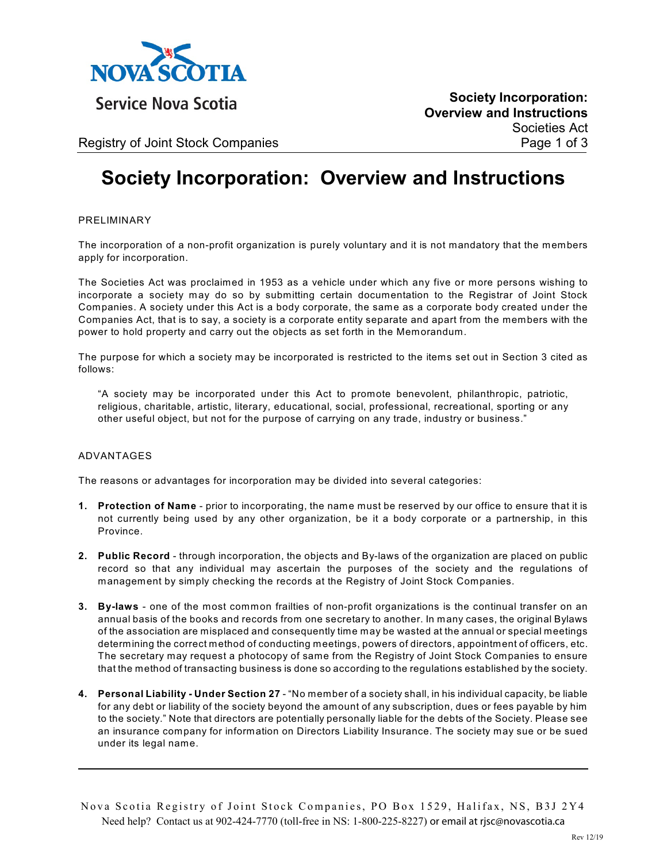

**Service Nova Scotia** 

**Society Incorporation: Overview and Instructions** Societies Act

Registry of Joint Stock Companies **Page 1 of 3** and 2 and 2 and 2 and 2 and 2 and 2 and 2 and 2 and 2 and 2 and 2 and 2 and 2 and 2 and 2 and 2 and 2 and 2 and 2 and 2 and 2 and 2 and 2 and 2 and 2 and 2 and 2 and 2 and 2

# **Society Incorporation: Overview and Instructions**

#### PRELIMINARY

The incorporation of a non-profit organization is purely voluntary and it is not mandatory that the members apply for incorporation.

The Societies Act was proclaimed in 1953 as a vehicle under which any five or more persons wishing to incorporate a society may do so by submitting certain documentation to the Registrar of Joint Stock Companies. A society under this Act is a body corporate, the same as a corporate body created under the Companies Act, that is to say, a society is a corporate entity separate and apart from the members with the power to hold property and carry out the objects as set forth in the Memorandum.

The purpose for which a society may be incorporated is restricted to the items set out in Section 3 cited as follows:

"A society may be incorporated under this Act to promote benevolent, philanthropic, patriotic, religious, charitable, artistic, literary, educational, social, professional, recreational, sporting or any other useful object, but not for the purpose of carrying on any trade, industry or business."

#### ADVANTAGES

The reasons or advantages for incorporation may be divided into several categories:

- **1. Protection of Name**  prior to incorporating, the name must be reserved by our office to ensure that it is not currently being used by any other organization, be it a body corporate or a partnership, in this Province.
- **2. Public Record**  through incorporation, the objects and By-laws of the organization are placed on public record so that any individual may ascertain the purposes of the society and the regulations of management by simply checking the records at the Registry of Joint Stock Companies.
- **3. By-laws**  one of the most common frailties of non-profit organizations is the continual transfer on an annual basis of the books and records from one secretary to another. In many cases, the original Bylaws of the association are misplaced and consequently time may be wasted at the annual or special meetings determining the correct method of conducting meetings, powers of directors, appointment of officers, etc. The secretary may request a photocopy of same from the Registry of Joint Stock Companies to ensure that the method of transacting business is done so according to the regulations established by the society.
- **4. Personal Liability Under Section 27**  "No member of a society shall, in his individual capacity, be liable for any debt or liability of the society beyond the amount of any subscription, dues or fees payable by him to the society." Note that directors are potentially personally liable for the debts of the Society. Please see an insurance company for information on Directors Liability Insurance. The society may sue or be sued under its legal name.

Nova Scotia Registry of Joint Stock Companies, PO Box 1529, Halifax, NS, B3J 2Y4 Need help? Contact us at 902-424-7770 (toll-free in NS: 1-800-225-8227) **or email at rjsc@novascotia.ca**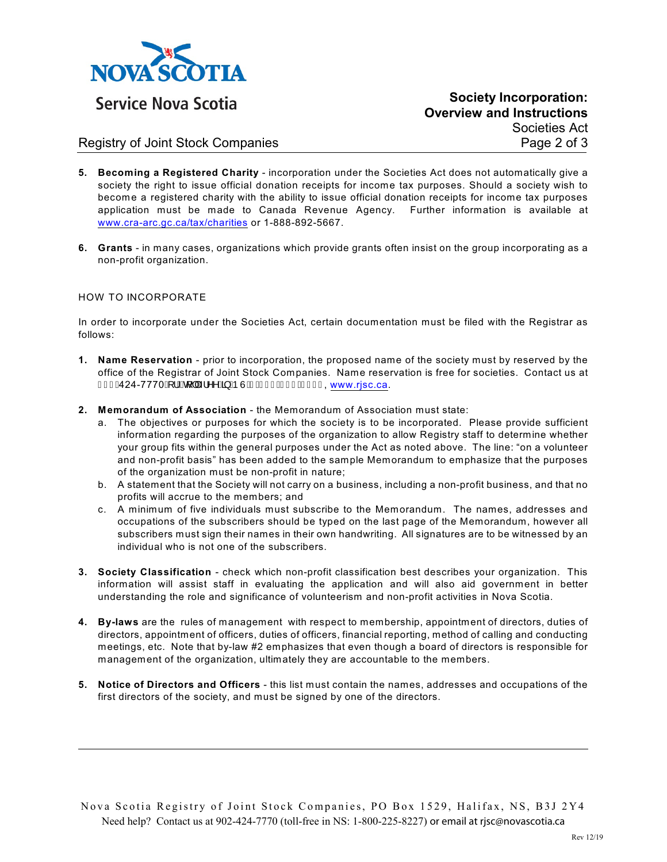

**Society Incorporation: Overview and Instructions**

Societies Act

### Registry of Joint Stock Companies **Page 2 of 3** and 2 of 3

- **5. Becoming a Registered Charity** incorporation under the Societies Act does not automatically give a society the right to issue official donation receipts for income tax purposes. Should a society wish to become a registered charity with the ability to issue official donation receipts for income tax purposes application must be made to Canada Revenue Agency. Further information is available at [www.cra-arc.gc.ca/tax/charities](http://www.cra-arc.gc.ca/tax/charities) or 1-888-892-5667.
- **6. Grants**  in many cases, organizations which provide grants often insist on the group incorporating as a non-profit organization.

#### HOW TO INCORPORATE

In order to incorporate under the Societies Act, certain documentation must be filed with the Registrar as follows:

- **1. Name Reservation**  prior to incorporation, the proposed name of the society must by reserved by the office of the Registrar of Joint Stock Companies. Name reservation is free for societies. Contact us at J€GË424-7770ÁI. Á NGILLÁ, Y^ÁB, Á ÞÙ Á FÊL <del>€€ËGG</del>Í EÍ GGÏ[, www.rjsc.ca.](http://www.rjsc.ca)
- **2. Memorandum of Association**  the Memorandum of Association must state:
	- a. The objectives or purposes for which the society is to be incorporated. Please provide sufficient information regarding the purposes of the organization to allow Registry staff to determine whether your group fits within the general purposes under the Act as noted above. The line: "on a volunteer and non-profit basis" has been added to the sample Memorandum to emphasize that the purposes of the organization must be non-profit in nature;
	- b. A statement that the Society will not carry on a business, including a non-profit business, and that no profits will accrue to the members; and
	- c. A minimum of five individuals must subscribe to the Memorandum. The names, addresses and occupations of the subscribers should be typed on the last page of the Memorandum, however all subscribers must sign their names in their own handwriting. All signatures are to be witnessed by an individual who is not one of the subscribers.
- **3. Society Classification**  check which non-profit classification best describes your organization. This information will assist staff in evaluating the application and will also aid government in better understanding the role and significance of volunteerism and non-profit activities in Nova Scotia.
- **4. By-laws** are the rules of management with respect to membership, appointment of directors, duties of directors, appointment of officers, duties of officers, financial reporting, method of calling and conducting meetings, etc. Note that by-law #2 emphasizes that even though a board of directors is responsible for management of the organization, ultimately they are accountable to the members.
- **5. Notice of Directors and Officers**  this list must contain the names, addresses and occupations of the first directors of the society, and must be signed by one of the directors.